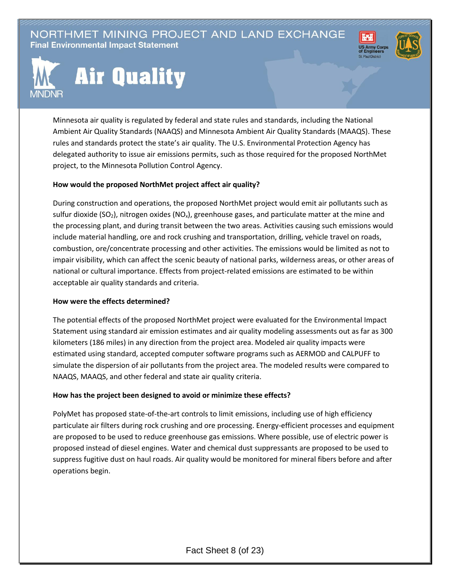NORTHMET MINING PROJECT AND LAND EXCHANGE **Final Environmental Impact Statement** 





## **Air Quality**

Minnesota air quality is regulated by federal and state rules and standards, including the National Ambient Air Quality Standards (NAAQS) and Minnesota Ambient Air Quality Standards (MAAQS). These rules and standards protect the state's air quality. The U.S. Environmental Protection Agency has delegated authority to issue air emissions permits, such as those required for the proposed NorthMet project, to the Minnesota Pollution Control Agency.

## **How would the proposed NorthMet project affect air quality?**

During construction and operations, the proposed NorthMet project would emit air pollutants such as sulfur dioxide (SO<sub>2</sub>), nitrogen oxides (NO<sub>x</sub>), greenhouse gases, and particulate matter at the mine and the processing plant, and during transit between the two areas. Activities causing such emissions would include material handling, ore and rock crushing and transportation, drilling, vehicle travel on roads, combustion, ore/concentrate processing and other activities. The emissions would be limited as not to impair visibility, which can affect the scenic beauty of national parks, wilderness areas, or other areas of national or cultural importance. Effects from project-related emissions are estimated to be within acceptable air quality standards and criteria.

## **How were the effects determined?**

The potential effects of the proposed NorthMet project were evaluated for the Environmental Impact Statement using standard air emission estimates and air quality modeling assessments out as far as 300 kilometers (186 miles) in any direction from the project area. Modeled air quality impacts were estimated using standard, accepted computer software programs such as AERMOD and CALPUFF to simulate the dispersion of air pollutants from the project area. The modeled results were compared to NAAQS, MAAQS, and other federal and state air quality criteria.

## **How has the project been designed to avoid or minimize these effects?**

PolyMet has proposed state-of-the-art controls to limit emissions, including use of high efficiency particulate air filters during rock crushing and ore processing. Energy-efficient processes and equipment are proposed to be used to reduce greenhouse gas emissions. Where possible, use of electric power is proposed instead of diesel engines. Water and chemical dust suppressants are proposed to be used to suppress fugitive dust on haul roads. Air quality would be monitored for mineral fibers before and after operations begin.